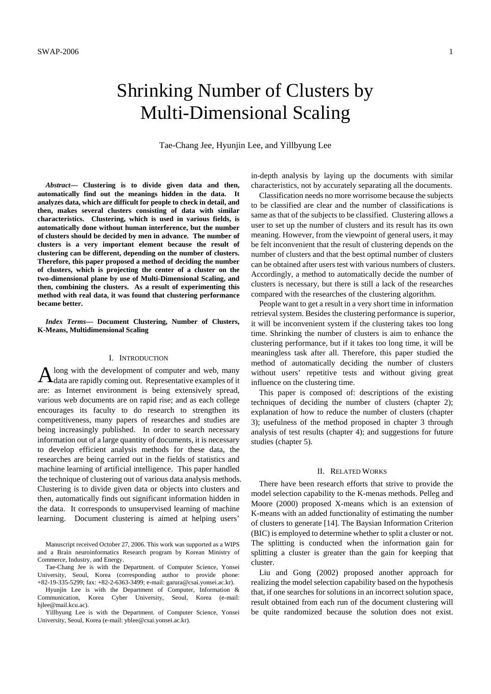# Shrinking Number of Clusters by Multi-Dimensional Scaling

Tae-Chang Jee, Hyunjin Lee, and Yillbyung Lee

*Abstract***— Clustering is to divide given data and then, automatically find out the meanings hidden in the data. It analyzes data, which are difficult for people to check in detail, and then, makes several clusters consisting of data with similar characteristics. Clustering, which is used in various fields, is automatically done without human interference, but the number of clusters should be decided by men in advance. The number of clusters is a very important element because the result of clustering can be different, depending on the number of clusters. Therefore, this paper proposed a method of deciding the number of clusters, which is projecting the center of a cluster on the two-dimensional plane by use of Multi-Dimensional Scaling, and then, combining the clusters. As a result of experimenting this method with real data, it was found that clustering performance became better.** 

*Index Terms***— Document Clustering, Number of Clusters, K-Means, Multidimensional Scaling** 

# I. INTRODUCTION

long with the development of computer and web, many  $A$  long with the development of computer and web, many data are rapidly coming out. Representative examples of it are: as Internet environment is being extensively spread, various web documents are on rapid rise; and as each college encourages its faculty to do research to strengthen its competitiveness, many papers of researches and studies are being increasingly published. In order to search necessary information out of a large quantity of documents, it is necessary to develop efficient analysis methods for these data, the researches are being carried out in the fields of statistics and machine learning of artificial intelligence. This paper handled the technique of clustering out of various data analysis methods. Clustering is to divide given data or objects into clusters and then, automatically finds out significant information hidden in the data. It corresponds to unsupervised learning of machine learning. Document clustering is aimed at helping users'

Manuscript received October 27, 2006. This work was supported as a WIPS and a Brain neuroinformatics Research program by Korean Ministry of Commerce, Industry, and Energy.

Tae-Chang Jee is with the Department. of Computer Science, Yonsei University, Seoul, Korea (corresponding author to provide phone: +82-19-335-5299; fax: +82-2-6363-3499; e-mail: garura@csai.yonsei.ac.kr).

Hyunjin Lee is with the Department of Computer, Information & Communication, Korea Cyber University, Seoul, Korea (e-mail: hjlee@mail.kcu.ac).

Yillbyung Lee is with the Department. of Computer Science, Yonsei University, Seoul, Korea (e-mail: yblee@csai.yonsei.ac.kr).

in-depth analysis by laying up the documents with similar characteristics, not by accurately separating all the documents.

Classification needs no more worrisome because the subjects to be classified are clear and the number of classifications is same as that of the subjects to be classified. Clustering allows a user to set up the number of clusters and its result has its own meaning. However, from the viewpoint of general users, it may be felt inconvenient that the result of clustering depends on the number of clusters and that the best optimal number of clusters can be obtained after users test with various numbers of clusters. Accordingly, a method to automatically decide the number of clusters is necessary, but there is still a lack of the researches compared with the researches of the clustering algorithm.

People want to get a result in a very short time in information retrieval system. Besides the clustering performance is superior, it will be inconvenient system if the clustering takes too long time. Shrinking the number of clusters is aim to enhance the clustering performance, but if it takes too long time, it will be meaningless task after all. Therefore, this paper studied the method of automatically deciding the number of clusters without users' repetitive tests and without giving great influence on the clustering time.

This paper is composed of: descriptions of the existing techniques of deciding the number of clusters (chapter 2); explanation of how to reduce the number of clusters (chapter 3); usefulness of the method proposed in chapter 3 through analysis of test results (chapter 4); and suggestions for future studies (chapter 5).

#### II. RELATED WORKS

There have been research efforts that strive to provide the model selection capability to the K-menas methods. Pelleg and Moore (2000) proposed X-means which is an extension of K-means with an added functionality of estimating the number of clusters to generate [14]. The Baysian Information Criterion (BIC) is employed to determine whether to split a cluster or not. The splitting is conducted when the information gain for splitting a cluster is greater than the gain for keeping that cluster.

Liu and Gong (2002) proposed another approach for realizing the model selection capability based on the hypothesis that, if one searches for solutions in an incorrect solution space, result obtained from each run of the document clustering will be quite randomized because the solution does not exist.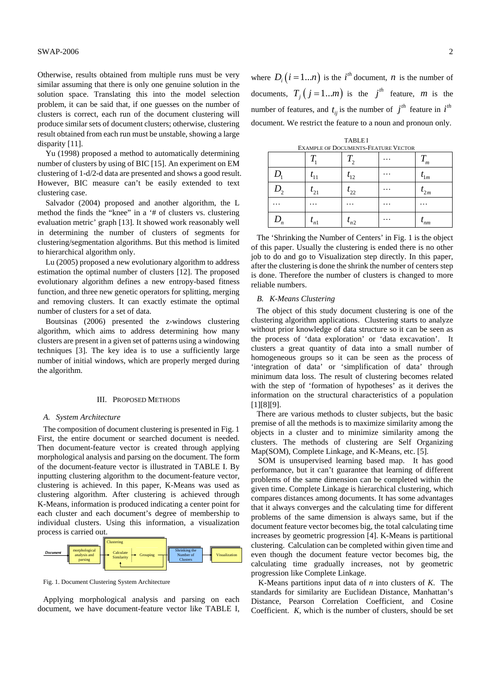Otherwise, results obtained from multiple runs must be very similar assuming that there is only one genuine solution in the solution space. Translating this into the model selection problem, it can be said that, if one guesses on the number of clusters is correct, each run of the document clustering will produce similar sets of document clusters; otherwise, clustering result obtained from each run must be unstable, showing a large disparity [11].

Yu (1998) proposed a method to automatically determining number of clusters by using of BIC [15]. An experiment on EM clustering of 1-d/2-d data are presented and shows a good result. However, BIC measure can't be easily extended to text clustering case.

Salvador (2004) proposed and another algorithm, the L method the finds the "knee" in a '# of clusters vs. clustering evaluation metric' graph [13]. It showed work reasonably well in determining the number of clusters of segments for clustering/segmentation algorithms. But this method is limited to hierarchical algorithm only.

Lu (2005) proposed a new evolutionary algorithm to address estimation the optimal number of clusters [12]. The proposed evolutionary algorithm defines a new entropy-based fitness function, and three new genetic operators for splitting, merging and removing clusters. It can exactly estimate the optimal number of clusters for a set of data.

Boutsinas (2006) presented the z-windows clustering algorithm, which aims to address determining how many clusters are present in a given set of patterns using a windowing techniques [3]. The key idea is to use a sufficiently large number of initial windows, which are properly merged during the algorithm.

## III. PROPOSED METHODS

### *A. System Architecture*

The composition of document clustering is presented in Fig. 1 First, the entire document or searched document is needed. Then document-feature vector is created through applying morphological analysis and parsing on the document. The form of the document-feature vector is illustrated in TABLE I. By inputting clustering algorithm to the document-feature vector, clustering is achieved. In this paper, K-Means was used as clustering algorithm. After clustering is achieved through K-Means, information is produced indicating a center point for each cluster and each document's degree of membership to individual clusters. Using this information, a visualization process is carried out.



Fig. 1. Document Clustering System Architecture

Applying morphological analysis and parsing on each document, we have document-feature vector like TABLE I, where  $D_i$  ( $i = 1...n$ ) is the  $i^{th}$  document, *n* is the number of documents,  $T_i$   $(j = 1...m)$  is the *j<sup>th</sup>* feature, *m* is the number of features, and  $t_{ij}$  is the number of  $j^{th}$  feature in  $i^{th}$ document. We restrict the feature to a noun and pronoun only.

| <b>TABLEI</b>                              |
|--------------------------------------------|
| <b>EXAMPLE OF DOCUMENTS-FEATURE VECTOR</b> |

|       |              | .<br>$\sim$ |          |                  |
|-------|--------------|-------------|----------|------------------|
|       |              | T<br>ι,     | .        | $\bm{\tau}$<br>m |
| D     | $t_{11}$     | $t_{12}$    | .        | $\iota_{1m}$     |
| D,    | $t_{21}$     | $t_{22}$    | .        | $t_{2m}$         |
| .     | $\cdots$     | .           | .        |                  |
| $D_n$ | $\iota_{n1}$ | $t_{n2}$    | $\cdots$ | $\mathbf{m}$     |

The 'Shrinking the Number of Centers' in Fig. 1 is the object of this paper. Usually the clustering is ended there is no other job to do and go to Visualization step directly. In this paper, after the clustering is done the shrink the number of centers step is done. Therefore the number of clusters is changed to more reliable numbers.

## *B. K-Means Clustering*

The object of this study document clustering is one of the clustering algorithm applications. Clustering starts to analyze without prior knowledge of data structure so it can be seen as the process of 'data exploration' or 'data excavation'. It clusters a great quantity of data into a small number of homogeneous groups so it can be seen as the process of 'integration of data' or 'simplification of data' through minimum data loss. The result of clustering becomes related with the step of 'formation of hypotheses' as it derives the information on the structural characteristics of a population [1][8][9].

There are various methods to cluster subjects, but the basic premise of all the methods is to maximize similarity among the objects in a cluster and to minimize similarity among the clusters. The methods of clustering are Self Organizing Map(SOM), Complete Linkage, and K-Means, etc. [5].

SOM is unsupervised learning based map. It has good performance, but it can't guarantee that learning of different problems of the same dimension can be completed within the given time. Complete Linkage is hierarchical clustering, which compares distances among documents. It has some advantages that it always converges and the calculating time for different problems of the same dimension is always same, but if the document feature vector becomes big, the total calculating time increases by geometric progression [4]. K-Means is partitional clustering. Calculation can be completed within given time and even though the document feature vector becomes big, the calculating time gradually increases, not by geometric progression like Complete Linkage.

K-Means partitions input data of *n* into clusters of *K*. The standards for similarity are Euclidean Distance, Manhattan's Distance, Pearson Correlation Coefficient, and Cosine Coefficient. *K*, which is the number of clusters, should be set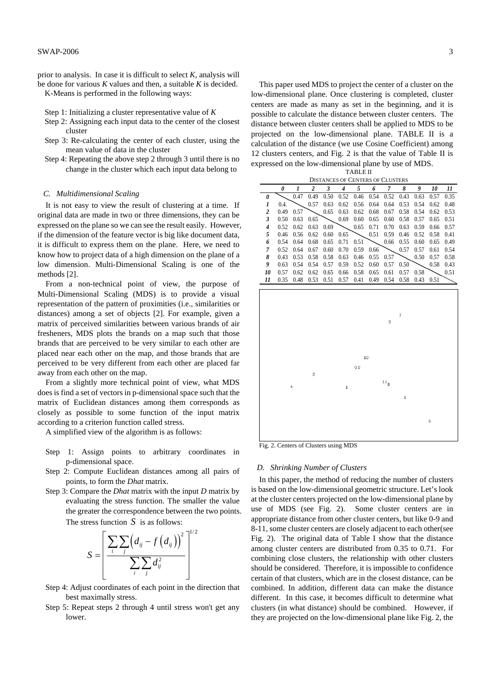prior to analysis. In case it is difficult to select *K*, analysis will be done for various *K* values and then, a suitable *K* is decided.

K-Means is performed in the following ways:

- Step 1: Initializing a cluster representative value of *K*
- Step 2: Assigning each input data to the center of the closest cluster
- Step 3: Re-calculating the center of each cluster, using the mean value of data in the cluster
- Step 4: Repeating the above step 2 through 3 until there is no change in the cluster which each input data belong to

## *C. Multidimensional Scaling*

It is not easy to view the result of clustering at a time. If original data are made in two or three dimensions, they can be expressed on the plane so we can see the result easily. However, if the dimension of the feature vector is big like document data, it is difficult to express them on the plane. Here, we need to know how to project data of a high dimension on the plane of a low dimension. Multi-Dimensional Scaling is one of the methods [2].

From a non-technical point of view, the purpose of Multi-Dimensional Scaling (MDS) is to provide a visual representation of the pattern of proximities (i.e., similarities or distances) among a set of objects [2]. For example, given a matrix of perceived similarities between various brands of air fresheners, MDS plots the brands on a map such that those brands that are perceived to be very similar to each other are placed near each other on the map, and those brands that are perceived to be very different from each other are placed far away from each other on the map.

From a slightly more technical point of view, what MDS does is find a set of vectors in p-dimensional space such that the matrix of Euclidean distances among them corresponds as closely as possible to some function of the input matrix according to a criterion function called stress.

A simplified view of the algorithm is as follows:

- Step 1: Assign points to arbitrary coordinates in p-dimensional space.
- Step 2: Compute Euclidean distances among all pairs of points, to form the *Dhat* matrix.
- Step 3: Compare the *Dhat* matrix with the input *D* matrix by evaluating the stress function. The smaller the value the greater the correspondence between the two points. The stress function *S* is as follows:

$$
S = \left[ \frac{\sum\limits_{i} \sum\limits_{j} \left(d_{ij} - f\left(d_{ij}\right)\right)^2}{\sum\limits_{i} \sum\limits_{j} d_{ij}^2} \right]^{1/2}
$$

- Step 4: Adjust coordinates of each point in the direction that best maximally stress.
- Step 5: Repeat steps 2 through 4 until stress won't get any lower.

This paper used MDS to project the center of a cluster on the low-dimensional plane. Once clustering is completed, cluster centers are made as many as set in the beginning, and it is possible to calculate the distance between cluster centers. The distance between cluster centers shall be applied to MDS to be projected on the low-dimensional plane. TABLE II is a calculation of the distance (we use Cosine Coefficient) among 12 clusters centers, and Fig. 2 is that the value of Table II is expressed on the low-dimensional plane by use of MDS.

TABLE II

|    | <b>DISTANCES OF CENTERS OF CLUSTERS</b> |      |                         |      |      |      |      |      |      |      |      |      |
|----|-----------------------------------------|------|-------------------------|------|------|------|------|------|------|------|------|------|
|    | 0                                       |      | $\overline{\mathbf{c}}$ | 3    | 4    | 5    | 6    | 7    | 8    | 9    | 10   | 11   |
| ŋ  |                                         | 0.47 | 0.49                    | 0.50 | 0.52 | 0.46 | 0.54 | 0.52 | 0.43 | 0.63 | 0.57 | 0.35 |
| 1  | 0.4.                                    |      | 0.57                    | 0.63 | 0.62 | 0.56 | 0.64 | 0.64 | 0.53 | 0.54 | 0.62 | 0.48 |
| 2  | 0.49                                    | 0.57 |                         | 0.65 | 0.63 | 0.62 | 0.68 | 0.67 | 0.58 | 0.54 | 0.62 | 0.53 |
| 3  | 0.50                                    | 0.63 | 0.65                    |      | 0.69 | 0.60 | 0.65 | 0.60 | 0.58 | 0.57 | 0.65 | 0.51 |
| 4  | 0.52                                    | 0.62 | 0.63                    | 0.69 |      | 0.65 | 0.71 | 0.70 | 0.63 | 0.59 | 0.66 | 0.57 |
| 5  | 0.46                                    | 0.56 | 0.62                    | 0.60 | 0.65 |      | 0.51 | 0.59 | 0.46 | 0.52 | 0.58 | 0.41 |
| 6  | 0.54                                    | 0.64 | 0.68                    | 0.65 | 0.71 | 0.51 |      | 0.66 | 0.55 | 0.60 | 0.65 | 0.49 |
| 7  | 0.52                                    | 0.64 | 0.67                    | 0.60 | 0.70 | 0.59 | 0.66 |      | 0.57 | 0.57 | 0.61 | 0.54 |
| 8  | 0.43                                    | 0.53 | 0.58                    | 0.58 | 0.63 | 0.46 | 0.55 | 0.57 |      | 0.50 | 0.57 | 0.58 |
| 9  | 0.63                                    | 0.54 | 0.54                    | 0.57 | 0.59 | 0.52 | 0.60 | 0.57 | 0.50 |      | 0.58 | 0.43 |
| 10 | 0.57                                    | 0.62 | 0.62                    | 0.65 | 0.66 | 0.58 | 0.65 | 0.61 | 0.57 | 0.58 |      | 0.51 |
| 11 | 0.35                                    | 0.48 | 0.53                    | 0.51 | 0.57 | 0.41 | 0.49 | 0.54 | 0.58 | 0.43 | 0.51 |      |
|    |                                         |      |                         |      |      |      |      |      |      |      |      |      |



Fig. 2. Centers of Clusters using MDS

# *D. Shrinking Number of Clusters*

In this paper, the method of reducing the number of clusters is based on the low-dimensional geometric structure. Let's look at the cluster centers projected on the low-dimensional plane by use of MDS (see Fig. 2). Some cluster centers are in appropriate distance from other cluster centers, but like 0-9 and 8-11, some cluster centers are closely adjacent to each other(see Fig. 2). The original data of Table I show that the distance among cluster centers are distributed from 0.35 to 0.71. For combining close clusters, the relationship with other clusters should be considered. Therefore, it is impossible to confidence certain of that clusters, which are in the closest distance, can be combined. In addition, different data can make the distance different. In this case, it becomes difficult to determine what clusters (in what distance) should be combined. However, if they are projected on the low-dimensional plane like Fig. 2, the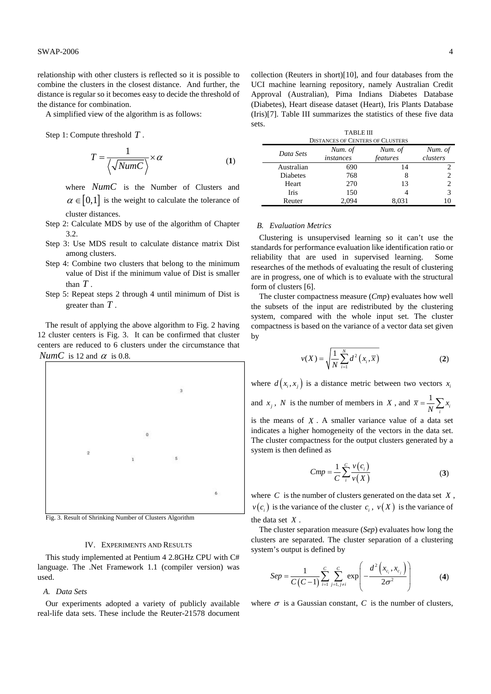relationship with other clusters is reflected so it is possible to combine the clusters in the closest distance. And further, the distance is regular so it becomes easy to decide the threshold of the distance for combination.

A simplified view of the algorithm is as follows:

Step 1: Compute threshold *T* .

cluster distances.

$$
T = \frac{1}{\left\langle \sqrt{NumC} \right\rangle} \times \alpha
$$
 (1)

where *NumC* is the Number of Clusters and  $\alpha \in [0,1]$  is the weight to calculate the tolerance of

- Step 2: Calculate MDS by use of the algorithm of Chapter 3.2.
- Step 3: Use MDS result to calculate distance matrix Dist among clusters.
- Step 4: Combine two clusters that belong to the minimum value of Dist if the minimum value of Dist is smaller than *T* .
- Step 5: Repeat steps 2 through 4 until minimum of Dist is greater than *T* .

The result of applying the above algorithm to Fig. 2 having 12 cluster centers is Fig. 3. It can be confirmed that cluster centers are reduced to 6 clusters under the circumstance that *NumC* is 12 and  $\alpha$  is 0.8.



Fig. 3. Result of Shrinking Number of Clusters Algorithm

# IV. EXPERIMENTS AND RESULTS

This study implemented at Pentium 4 2.8GHz CPU with C# language. The .Net Framework 1.1 (compiler version) was used.

## *A. Data Sets*

Our experiments adopted a variety of publicly available real-life data sets. These include the Reuter-21578 document collection (Reuters in short)[10], and four databases from the UCI machine learning repository, namely Australian Credit Approval (Australian), Pima Indians Diabetes Database (Diabetes), Heart disease dataset (Heart), Iris Plants Database (Iris)[7]. Table III summarizes the statistics of these five data sets.

| <b>TABLE III</b>       |  |
|------------------------|--|
| ances of Centeds of Ci |  |

| <b>DISTANCES OF CENTERS OF CLUSTERS</b> |                      |                     |                     |  |  |  |
|-----------------------------------------|----------------------|---------------------|---------------------|--|--|--|
| Data Sets                               | Num. of<br>instances | Num. of<br>features | Num. of<br>clusters |  |  |  |
| Australian                              | 690                  | 14                  |                     |  |  |  |
| Diabetes                                | 768                  |                     |                     |  |  |  |
| Heart                                   | 270                  | 13                  |                     |  |  |  |
| <b>Iris</b>                             | 150                  |                     |                     |  |  |  |
| Reuter                                  | 2.094                | 8.031               |                     |  |  |  |

### *B. Evaluation Metrics*

Clustering is unsupervised learning so it can't use the standards for performance evaluation like identification ratio or reliability that are used in supervised learning. Some researches of the methods of evaluating the result of clustering are in progress, one of which is to evaluate with the structural form of clusters [6].

The cluster compactness measure (*Cmp*) evaluates how well the subsets of the input are redistributed by the clustering system, compared with the whole input set. The cluster compactness is based on the variance of a vector data set given by

$$
\nu(X) = \sqrt{\frac{1}{N} \sum_{i=1}^{N} d^2(x_i, \overline{x})}
$$
 (2)

where  $d(x_i, x_j)$  is a distance metric between two vectors  $x_i$ 

and *x<sub>j</sub>*, *N* is the number of members in *X*, and  $\bar{x} = \frac{1}{N} \sum_{i} x_i$ 

is the means of *X* . A smaller variance value of a data set indicates a higher homogeneity of the vectors in the data set. The cluster compactness for the output clusters generated by a system is then defined as

$$
Cmp = \frac{1}{C} \sum_{i}^{C} \frac{v(c_i)}{v(X)}
$$
(3)

where *C* is the number of clusters generated on the data set *X* ,  $v(c_i)$  is the variance of the cluster  $c_i$ ,  $v(X)$  is the variance of the data set *X* .

The cluster separation measure (*Sep*) evaluates how long the clusters are separated. The cluster separation of a clustering system's output is defined by

$$
Sep = \frac{1}{C(C-1)}\sum_{i=1}^{C}\sum_{j=1, j\neq i}^{C}\exp\left(-\frac{d^{2}(x_{c_{i}}, x_{c_{j}})}{2\sigma^{2}}\right)
$$
(4)

where  $\sigma$  is a Gaussian constant, C is the number of clusters,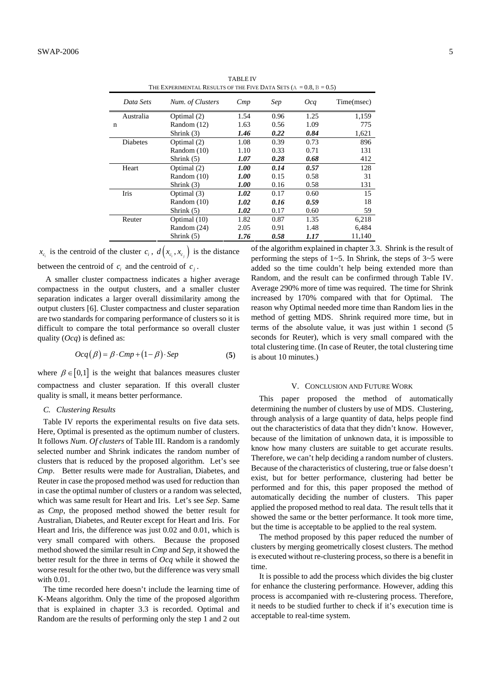| THE EXPERIMENTAL RESULTS OF THE FIVE DATA SETS $(A = 0.8, B = 0.5)$ |                  |      |      |      |            |  |  |
|---------------------------------------------------------------------|------------------|------|------|------|------------|--|--|
| Data Sets                                                           | Num. of Clusters | Cmp  | Sep  | Oca  | Time(msec) |  |  |
| Australia                                                           | Optimal (2)      | 1.54 | 0.96 | 1.25 | 1,159      |  |  |
| n                                                                   | Random (12)      | 1.63 | 0.56 | 1.09 | 775        |  |  |
|                                                                     | Shrink (3)       | 1.46 | 0.22 | 0.84 | 1,621      |  |  |
| Diabetes                                                            | Optimal (2)      | 1.08 | 0.39 | 0.73 | 896        |  |  |
|                                                                     | Random (10)      | 1.10 | 0.33 | 0.71 | 131        |  |  |
|                                                                     | Shrink $(5)$     | 1.07 | 0.28 | 0.68 | 412        |  |  |
| Heart                                                               | Optimal (2)      | 1.00 | 0.14 | 0.57 | 128        |  |  |
|                                                                     | Random (10)      | 1.00 | 0.15 | 0.58 | 31         |  |  |
|                                                                     | Shrink (3)       | 1.00 | 0.16 | 0.58 | 131        |  |  |
| Iris                                                                | Optimal (3)      | 1.02 | 0.17 | 0.60 | 15         |  |  |
|                                                                     | Random (10)      | 1.02 | 0.16 | 0.59 | 18         |  |  |
|                                                                     | Shrink (5)       | 1.02 | 0.17 | 0.60 | 59         |  |  |
| Reuter                                                              | Optimal (10)     | 1.82 | 0.87 | 1.35 | 6,218      |  |  |
|                                                                     | Random (24)      | 2.05 | 0.91 | 1.48 | 6,484      |  |  |
|                                                                     | Shrink $(5)$     | 1.76 | 0.58 | 1.17 | 11,140     |  |  |

TABLE IV

 $x_{c_i}$  is the centroid of the cluster  $c_i$ ,  $d(x_{c_i}, x_{c_j})$  is the distance between the centroid of  $c_i$  and the centroid of  $c_j$ .

A smaller cluster compactness indicates a higher average compactness in the output clusters, and a smaller cluster separation indicates a larger overall dissimilarity among the output clusters [6]. Cluster compactness and cluster separation are two standards for comparing performance of clusters so it is difficult to compare the total performance so overall cluster quality (*Ocq*) is defined as:

$$
Ocq(\beta) = \beta \cdot Cmp + (1 - \beta) \cdot Sep \tag{5}
$$

where  $\beta \in [0,1]$  is the weight that balances measures cluster compactness and cluster separation. If this overall cluster quality is small, it means better performance.

# *C. Clustering Results*

Table IV reports the experimental results on five data sets. Here, Optimal is presented as the optimum number of clusters. It follows *Num. Of clusters* of Table III. Random is a randomly selected number and Shrink indicates the random number of clusters that is reduced by the proposed algorithm. Let's see *Cmp*. Better results were made for Australian, Diabetes, and Reuter in case the proposed method was used for reduction than in case the optimal number of clusters or a random was selected, which was same result for Heart and Iris. Let's see *Sep*. Same as *Cmp*, the proposed method showed the better result for Australian, Diabetes, and Reuter except for Heart and Iris. For Heart and Iris, the difference was just 0.02 and 0.01, which is very small compared with others. Because the proposed method showed the similar result in *Cmp* and *Sep*, it showed the better result for the three in terms of *Ocq* while it showed the worse result for the other two, but the difference was very small with 0.01.

The time recorded here doesn't include the learning time of K-Means algorithm. Only the time of the proposed algorithm that is explained in chapter 3.3 is recorded. Optimal and Random are the results of performing only the step 1 and 2 out of the algorithm explained in chapter 3.3. Shrink is the result of performing the steps of  $1~5$ . In Shrink, the steps of  $3~5$  were added so the time couldn't help being extended more than Random, and the result can be confirmed through Table IV. Average 290% more of time was required. The time for Shrink increased by 170% compared with that for Optimal. The reason why Optimal needed more time than Random lies in the method of getting MDS. Shrink required more time, but in terms of the absolute value, it was just within 1 second (5 seconds for Reuter), which is very small compared with the total clustering time. (In case of Reuter, the total clustering time is about 10 minutes.)

### V. CONCLUSION AND FUTURE WORK

This paper proposed the method of automatically determining the number of clusters by use of MDS. Clustering, through analysis of a large quantity of data, helps people find out the characteristics of data that they didn't know. However, because of the limitation of unknown data, it is impossible to know how many clusters are suitable to get accurate results. Therefore, we can't help deciding a random number of clusters. Because of the characteristics of clustering, true or false doesn't exist, but for better performance, clustering had better be performed and for this, this paper proposed the method of automatically deciding the number of clusters. This paper applied the proposed method to real data. The result tells that it showed the same or the better performance. It took more time, but the time is acceptable to be applied to the real system.

The method proposed by this paper reduced the number of clusters by merging geometrically closest clusters. The method is executed without re-clustering process, so there is a benefit in time.

It is possible to add the process which divides the big cluster for enhance the clustering performance. However, adding this process is accompanied with re-clustering process. Therefore, it needs to be studied further to check if it's execution time is acceptable to real-time system.